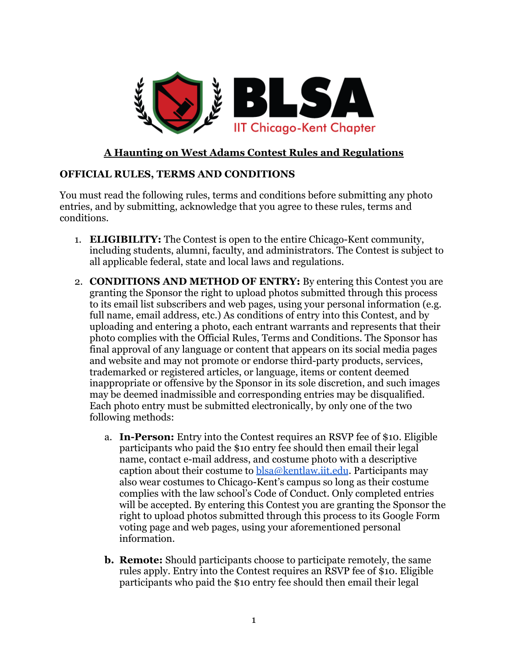

## **A Haunting on West Adams Contest Rules and Regulations**

## **OFFICIAL RULES, TERMS AND CONDITIONS**

You must read the following rules, terms and conditions before submitting any photo entries, and by submitting, acknowledge that you agree to these rules, terms and conditions.

- 1. **ELIGIBILITY:** The Contest is open to the entire Chicago-Kent community, including students, alumni, faculty, and administrators. The Contest is subject to all applicable federal, state and local laws and regulations.
- 2. **CONDITIONS AND METHOD OF ENTRY:** By entering this Contest you are granting the Sponsor the right to upload photos submitted through this process to its email list subscribers and web pages, using your personal information (e.g. full name, email address, etc.) As conditions of entry into this Contest, and by uploading and entering a photo, each entrant warrants and represents that their photo complies with the Official Rules, Terms and Conditions. The Sponsor has final approval of any language or content that appears on its social media pages and website and may not promote or endorse third-party products, services, trademarked or registered articles, or language, items or content deemed inappropriate or offensive by the Sponsor in its sole discretion, and such images may be deemed inadmissible and corresponding entries may be disqualified. Each photo entry must be submitted electronically, by only one of the two following methods:
	- a. **In-Person:** Entry into the Contest requires an RSVP fee of \$10. Eligible participants who paid the \$10 entry fee should then email their legal name, contact e-mail address, and costume photo with a descriptive caption about their costume to  $bba@kenthaw.iit.edu$ . Participants may also wear costumes to Chicago-Kent's campus so long as their costume complies with the law school's Code of Conduct. Only completed entries will be accepted. By entering this Contest you are granting the Sponsor the right to upload photos submitted through this process to its Google Form voting page and web pages, using your aforementioned personal information.
	- **b. Remote:** Should participants choose to participate remotely, the same rules apply. Entry into the Contest requires an RSVP fee of \$10. Eligible participants who paid the \$10 entry fee should then email their legal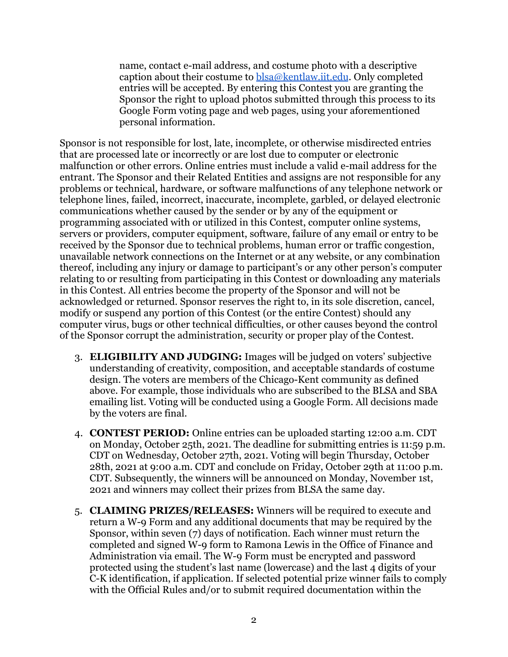name, contact e-mail address, and costume photo with a descriptive caption about their costume to [blsa@kentlaw.iit.edu](mailto:blsa@kentlaw.iit.edu). Only completed entries will be accepted. By entering this Contest you are granting the Sponsor the right to upload photos submitted through this process to its Google Form voting page and web pages, using your aforementioned personal information.

Sponsor is not responsible for lost, late, incomplete, or otherwise misdirected entries that are processed late or incorrectly or are lost due to computer or electronic malfunction or other errors. Online entries must include a valid e-mail address for the entrant. The Sponsor and their Related Entities and assigns are not responsible for any problems or technical, hardware, or software malfunctions of any telephone network or telephone lines, failed, incorrect, inaccurate, incomplete, garbled, or delayed electronic communications whether caused by the sender or by any of the equipment or programming associated with or utilized in this Contest, computer online systems, servers or providers, computer equipment, software, failure of any email or entry to be received by the Sponsor due to technical problems, human error or traffic congestion, unavailable network connections on the Internet or at any website, or any combination thereof, including any injury or damage to participant's or any other person's computer relating to or resulting from participating in this Contest or downloading any materials in this Contest. All entries become the property of the Sponsor and will not be acknowledged or returned. Sponsor reserves the right to, in its sole discretion, cancel, modify or suspend any portion of this Contest (or the entire Contest) should any computer virus, bugs or other technical difficulties, or other causes beyond the control of the Sponsor corrupt the administration, security or proper play of the Contest.

- 3. **ELIGIBILITY AND JUDGING:** Images will be judged on voters' subjective understanding of creativity, composition, and acceptable standards of costume design. The voters are members of the Chicago-Kent community as defined above. For example, those individuals who are subscribed to the BLSA and SBA emailing list. Voting will be conducted using a Google Form. All decisions made by the voters are final.
- 4. **CONTEST PERIOD:** Online entries can be uploaded starting 12:00 a.m. CDT on Monday, October 25th, 2021. The deadline for submitting entries is 11:59 p.m. CDT on Wednesday, October 27th, 2021. Voting will begin Thursday, October 28th, 2021 at 9:00 a.m. CDT and conclude on Friday, October 29th at 11:00 p.m. CDT. Subsequently, the winners will be announced on Monday, November 1st, 2021 and winners may collect their prizes from BLSA the same day.
- 5. **CLAIMING PRIZES/RELEASES:** Winners will be required to execute and return a W-9 Form and any additional documents that may be required by the Sponsor, within seven (7) days of notification. Each winner must return the completed and signed W-9 form to Ramona Lewis in the Office of Finance and Administration via email. The W-9 Form must be encrypted and password protected using the student's last name (lowercase) and the last 4 digits of your C-K identification, if application. If selected potential prize winner fails to comply with the Official Rules and/or to submit required documentation within the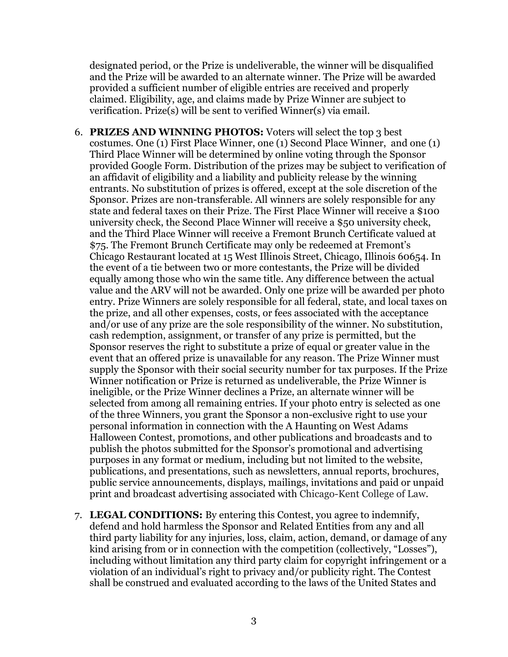designated period, or the Prize is undeliverable, the winner will be disqualified and the Prize will be awarded to an alternate winner. The Prize will be awarded provided a sufficient number of eligible entries are received and properly claimed. Eligibility, age, and claims made by Prize Winner are subject to verification. Prize(s) will be sent to verified Winner(s) via email.

- 6. **PRIZES AND WINNING PHOTOS:** Voters will select the top 3 best costumes. One (1) First Place Winner, one (1) Second Place Winner, and one (1) Third Place Winner will be determined by online voting through the Sponsor provided Google Form. Distribution of the prizes may be subject to verification of an affidavit of eligibility and a liability and publicity release by the winning entrants. No substitution of prizes is offered, except at the sole discretion of the Sponsor. Prizes are non-transferable. All winners are solely responsible for any state and federal taxes on their Prize. The First Place Winner will receive a \$100 university check, the Second Place Winner will receive a \$50 university check, and the Third Place Winner will receive a Fremont Brunch Certificate valued at \$75. The Fremont Brunch Certificate may only be redeemed at Fremont's Chicago Restaurant located at 15 West Illinois Street, Chicago, Illinois 60654. In the event of a tie between two or more contestants, the Prize will be divided equally among those who win the same title. Any difference between the actual value and the ARV will not be awarded. Only one prize will be awarded per photo entry. Prize Winners are solely responsible for all federal, state, and local taxes on the prize, and all other expenses, costs, or fees associated with the acceptance and/or use of any prize are the sole responsibility of the winner. No substitution, cash redemption, assignment, or transfer of any prize is permitted, but the Sponsor reserves the right to substitute a prize of equal or greater value in the event that an offered prize is unavailable for any reason. The Prize Winner must supply the Sponsor with their social security number for tax purposes. If the Prize Winner notification or Prize is returned as undeliverable, the Prize Winner is ineligible, or the Prize Winner declines a Prize, an alternate winner will be selected from among all remaining entries. If your photo entry is selected as one of the three Winners, you grant the Sponsor a non-exclusive right to use your personal information in connection with the A Haunting on West Adams Halloween Contest, promotions, and other publications and broadcasts and to publish the photos submitted for the Sponsor's promotional and advertising purposes in any format or medium, including but not limited to the website, publications, and presentations, such as newsletters, annual reports, brochures, public service announcements, displays, mailings, invitations and paid or unpaid print and broadcast advertising associated with Chicago-Kent College of Law.
- 7. **LEGAL CONDITIONS:** By entering this Contest, you agree to indemnify, defend and hold harmless the Sponsor and Related Entities from any and all third party liability for any injuries, loss, claim, action, demand, or damage of any kind arising from or in connection with the competition (collectively, "Losses"), including without limitation any third party claim for copyright infringement or a violation of an individual's right to privacy and/or publicity right. The Contest shall be construed and evaluated according to the laws of the United States and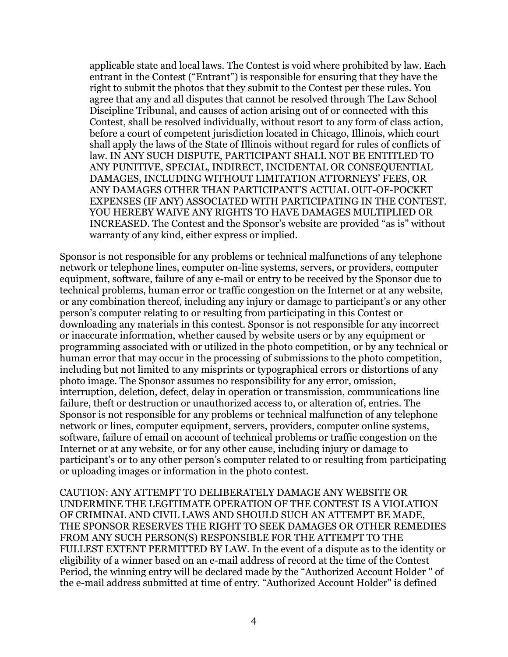applicable state and local laws. The Contest is void where prohibited by law. Each entrant in the Contest ("Entrant") is responsible for ensuring that they have the right to submit the photos that they submit to the Contest per these rules. You agree that any and all disputes that cannot be resolved through The Law School Discipline Tribunal, and causes of action arising out of or connected with this Contest, shall be resolved individually, without resort to any form of class action, before a court of competent jurisdiction located in Chicago, Illinois, which court shall apply the laws of the State of Illinois without regard for rules of conflicts of law. IN ANY SUCH DISPUTE, PARTICIPANT SHALL NOT BE ENTITLED TO ANY PUNITIVE, SPECIAL, INDIRECT, INCIDENTAL OR CONSEQUENTIAL DAMAGES, INCLUDING WITHOUT LIMITATION ATTORNEYS' FEES, OR ANY DAMAGES OTHER THAN PARTICIPANT'S ACTUAL OUT-OF-POCKET EXPENSES (IF ANY) ASSOCIATED WITH PARTICIPATING IN THE CONTEST. YOU HEREBY WAIVE ANY RIGHTS TO HAVE DAMAGES MULTIPLIED OR INCREASED. The Contest and the Sponsor's website are provided "as is" without warranty of any kind, either express or implied.

Sponsor is not responsible for any problems or technical malfunctions of any telephone network or telephone lines, computer on-line systems, servers, or providers, computer equipment, software, failure of any e-mail or entry to be received by the Sponsor due to technical problems, human error or traffic congestion on the Internet or at any website, or any combination thereof, including any injury or damage to participant's or any other person's computer relating to or resulting from participating in this Contest or downloading any materials in this contest. Sponsor is not responsible for any incorrect or inaccurate information, whether caused by website users or by any equipment or programming associated with or utilized in the photo competition, or by any technical or human error that may occur in the processing of submissions to the photo competition, including but not limited to any misprints or typographical errors or distortions of any photo image. The Sponsor assumes no responsibility for any error, omission, interruption, deletion, defect, delay in operation or transmission, communications line failure, theft or destruction or unauthorized access to, or alteration of, entries. The Sponsor is not responsible for any problems or technical malfunction of any telephone network or lines, computer equipment, servers, providers, computer online systems, software, failure of email on account of technical problems or traffic congestion on the Internet or at any website, or for any other cause, including injury or damage to participant's or to any other person's computer related to or resulting from participating or uploading images or information in the photo contest.

CAUTION: ANY ATTEMPT TO DELIBERATELY DAMAGE ANY WEBSITE OR UNDERMINE THE LEGITIMATE OPERATION OF THE CONTEST IS A VIOLATION OF CRIMINAL AND CIVIL LAWS AND SHOULD SUCH AN ATTEMPT BE MADE, THE SPONSOR RESERVES THE RIGHT TO SEEK DAMAGES OR OTHER REMEDIES FROM ANY SUCH PERSON(S) RESPONSIBLE FOR THE ATTEMPT TO THE FULLEST EXTENT PERMITTED BY LAW. In the event of a dispute as to the identity or eligibility of a winner based on an e-mail address of record at the time of the Contest Period, the winning entry will be declared made by the "Authorized Account Holder '' of the e-mail address submitted at time of entry. "Authorized Account Holder'' is defined